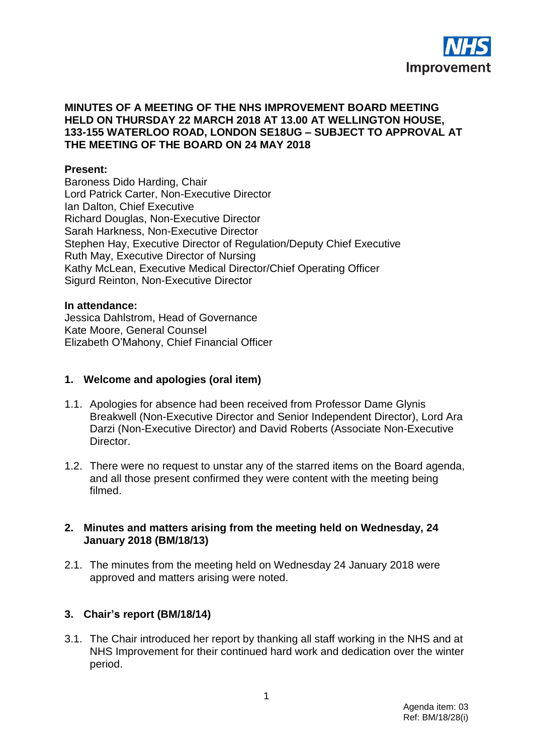

### **MINUTES OF A MEETING OF THE NHS IMPROVEMENT BOARD MEETING HELD ON THURSDAY 22 MARCH 2018 AT 13.00 AT WELLINGTON HOUSE, 133-155 WATERLOO ROAD, LONDON SE18UG – SUBJECT TO APPROVAL AT THE MEETING OF THE BOARD ON 24 MAY 2018**

### **Present:**

Baroness Dido Harding, Chair Lord Patrick Carter, Non-Executive Director Ian Dalton, Chief Executive Richard Douglas, Non-Executive Director Sarah Harkness, Non-Executive Director Stephen Hay, Executive Director of Regulation/Deputy Chief Executive Ruth May, Executive Director of Nursing Kathy McLean, Executive Medical Director/Chief Operating Officer Sigurd Reinton, Non-Executive Director

#### **In attendance:**

Jessica Dahlstrom, Head of Governance Kate Moore, General Counsel Elizabeth O'Mahony, Chief Financial Officer

### **1. Welcome and apologies (oral item)**

- 1.1. Apologies for absence had been received from Professor Dame Glynis Breakwell (Non-Executive Director and Senior Independent Director), Lord Ara Darzi (Non-Executive Director) and David Roberts (Associate Non-Executive Director.
- 1.2. There were no request to unstar any of the starred items on the Board agenda, and all those present confirmed they were content with the meeting being filmed.

#### **2. Minutes and matters arising from the meeting held on Wednesday, 24 January 2018 (BM/18/13)**

2.1. The minutes from the meeting held on Wednesday 24 January 2018 were approved and matters arising were noted.

### **3. Chair's report (BM/18/14)**

3.1. The Chair introduced her report by thanking all staff working in the NHS and at NHS Improvement for their continued hard work and dedication over the winter period.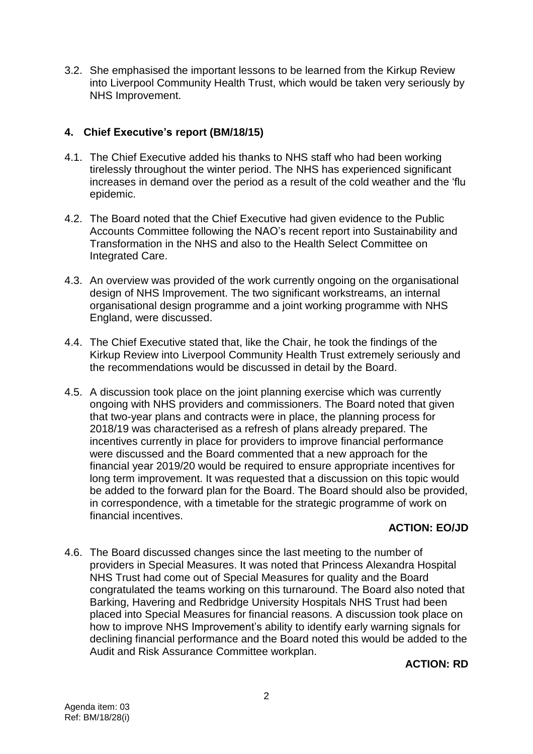3.2. She emphasised the important lessons to be learned from the Kirkup Review into Liverpool Community Health Trust, which would be taken very seriously by NHS Improvement.

# **4. Chief Executive's report (BM/18/15)**

- 4.1. The Chief Executive added his thanks to NHS staff who had been working tirelessly throughout the winter period. The NHS has experienced significant increases in demand over the period as a result of the cold weather and the 'flu epidemic.
- 4.2. The Board noted that the Chief Executive had given evidence to the Public Accounts Committee following the NAO's recent report into Sustainability and Transformation in the NHS and also to the Health Select Committee on Integrated Care.
- 4.3. An overview was provided of the work currently ongoing on the organisational design of NHS Improvement. The two significant workstreams, an internal organisational design programme and a joint working programme with NHS England, were discussed.
- 4.4. The Chief Executive stated that, like the Chair, he took the findings of the Kirkup Review into Liverpool Community Health Trust extremely seriously and the recommendations would be discussed in detail by the Board.
- 4.5. A discussion took place on the joint planning exercise which was currently ongoing with NHS providers and commissioners. The Board noted that given that two-year plans and contracts were in place, the planning process for 2018/19 was characterised as a refresh of plans already prepared. The incentives currently in place for providers to improve financial performance were discussed and the Board commented that a new approach for the financial year 2019/20 would be required to ensure appropriate incentives for long term improvement. It was requested that a discussion on this topic would be added to the forward plan for the Board. The Board should also be provided, in correspondence, with a timetable for the strategic programme of work on financial incentives.

## **ACTION: EO/JD**

4.6. The Board discussed changes since the last meeting to the number of providers in Special Measures. It was noted that Princess Alexandra Hospital NHS Trust had come out of Special Measures for quality and the Board congratulated the teams working on this turnaround. The Board also noted that Barking, Havering and Redbridge University Hospitals NHS Trust had been placed into Special Measures for financial reasons. A discussion took place on how to improve NHS Improvement's ability to identify early warning signals for declining financial performance and the Board noted this would be added to the Audit and Risk Assurance Committee workplan.

## **ACTION: RD**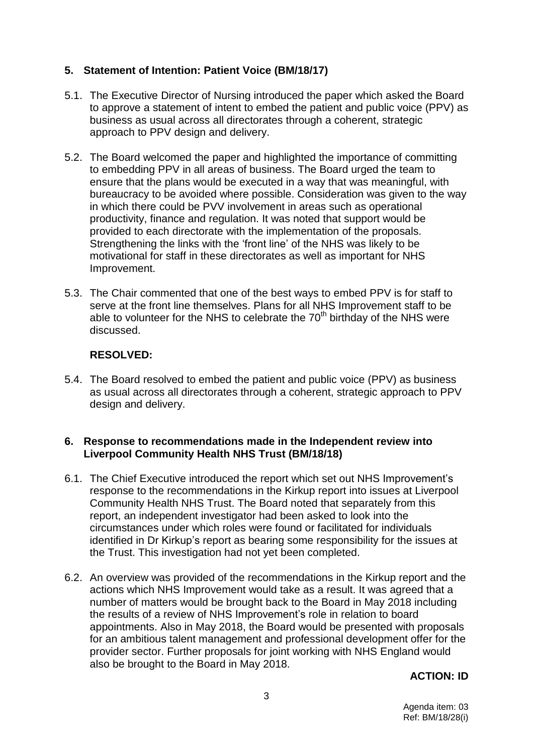# **5. Statement of Intention: Patient Voice (BM/18/17)**

- 5.1. The Executive Director of Nursing introduced the paper which asked the Board to approve a statement of intent to embed the patient and public voice (PPV) as business as usual across all directorates through a coherent, strategic approach to PPV design and delivery.
- 5.2. The Board welcomed the paper and highlighted the importance of committing to embedding PPV in all areas of business. The Board urged the team to ensure that the plans would be executed in a way that was meaningful, with bureaucracy to be avoided where possible. Consideration was given to the way in which there could be PVV involvement in areas such as operational productivity, finance and regulation. It was noted that support would be provided to each directorate with the implementation of the proposals. Strengthening the links with the 'front line' of the NHS was likely to be motivational for staff in these directorates as well as important for NHS Improvement.
- 5.3. The Chair commented that one of the best ways to embed PPV is for staff to serve at the front line themselves. Plans for all NHS Improvement staff to be able to volunteer for the NHS to celebrate the  $70<sup>th</sup>$  birthday of the NHS were discussed.

## **RESOLVED:**

5.4. The Board resolved to embed the patient and public voice (PPV) as business as usual across all directorates through a coherent, strategic approach to PPV design and delivery.

### **6. Response to recommendations made in the Independent review into Liverpool Community Health NHS Trust (BM/18/18)**

- 6.1. The Chief Executive introduced the report which set out NHS Improvement's response to the recommendations in the Kirkup report into issues at Liverpool Community Health NHS Trust. The Board noted that separately from this report, an independent investigator had been asked to look into the circumstances under which roles were found or facilitated for individuals identified in Dr Kirkup's report as bearing some responsibility for the issues at the Trust. This investigation had not yet been completed.
- 6.2. An overview was provided of the recommendations in the Kirkup report and the actions which NHS Improvement would take as a result. It was agreed that a number of matters would be brought back to the Board in May 2018 including the results of a review of NHS Improvement's role in relation to board appointments. Also in May 2018, the Board would be presented with proposals for an ambitious talent management and professional development offer for the provider sector. Further proposals for joint working with NHS England would also be brought to the Board in May 2018.

## **ACTION: ID**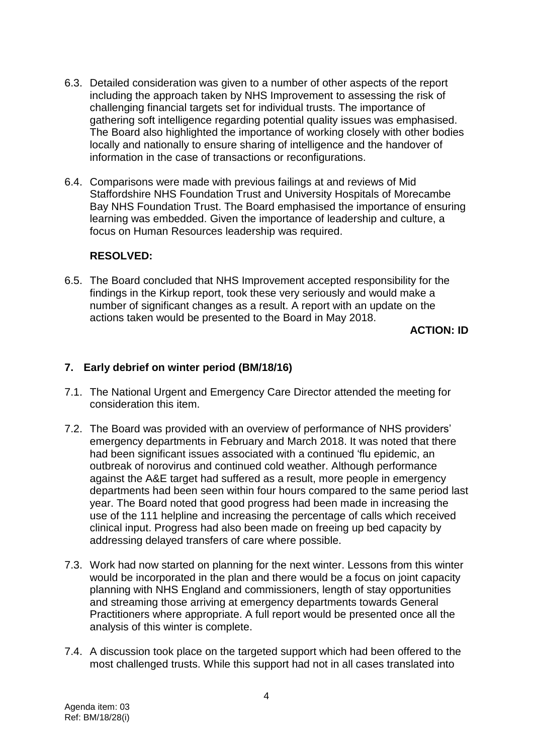- 6.3. Detailed consideration was given to a number of other aspects of the report including the approach taken by NHS Improvement to assessing the risk of challenging financial targets set for individual trusts. The importance of gathering soft intelligence regarding potential quality issues was emphasised. The Board also highlighted the importance of working closely with other bodies locally and nationally to ensure sharing of intelligence and the handover of information in the case of transactions or reconfigurations.
- 6.4. Comparisons were made with previous failings at and reviews of Mid Staffordshire NHS Foundation Trust and University Hospitals of Morecambe Bay NHS Foundation Trust. The Board emphasised the importance of ensuring learning was embedded. Given the importance of leadership and culture, a focus on Human Resources leadership was required.

### **RESOLVED:**

6.5. The Board concluded that NHS Improvement accepted responsibility for the findings in the Kirkup report, took these very seriously and would make a number of significant changes as a result. A report with an update on the actions taken would be presented to the Board in May 2018.

**ACTION: ID**

## **7. Early debrief on winter period (BM/18/16)**

- 7.1. The National Urgent and Emergency Care Director attended the meeting for consideration this item.
- 7.2. The Board was provided with an overview of performance of NHS providers' emergency departments in February and March 2018. It was noted that there had been significant issues associated with a continued 'flu epidemic, an outbreak of norovirus and continued cold weather. Although performance against the A&E target had suffered as a result, more people in emergency departments had been seen within four hours compared to the same period last year. The Board noted that good progress had been made in increasing the use of the 111 helpline and increasing the percentage of calls which received clinical input. Progress had also been made on freeing up bed capacity by addressing delayed transfers of care where possible.
- 7.3. Work had now started on planning for the next winter. Lessons from this winter would be incorporated in the plan and there would be a focus on joint capacity planning with NHS England and commissioners, length of stay opportunities and streaming those arriving at emergency departments towards General Practitioners where appropriate. A full report would be presented once all the analysis of this winter is complete.
- 7.4. A discussion took place on the targeted support which had been offered to the most challenged trusts. While this support had not in all cases translated into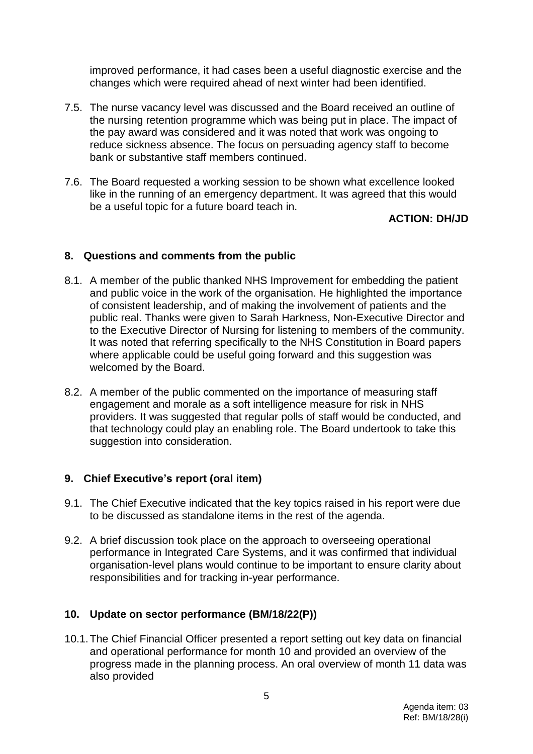improved performance, it had cases been a useful diagnostic exercise and the changes which were required ahead of next winter had been identified.

- 7.5. The nurse vacancy level was discussed and the Board received an outline of the nursing retention programme which was being put in place. The impact of the pay award was considered and it was noted that work was ongoing to reduce sickness absence. The focus on persuading agency staff to become bank or substantive staff members continued.
- 7.6. The Board requested a working session to be shown what excellence looked like in the running of an emergency department. It was agreed that this would be a useful topic for a future board teach in.

## **ACTION: DH/JD**

## **8. Questions and comments from the public**

- 8.1. A member of the public thanked NHS Improvement for embedding the patient and public voice in the work of the organisation. He highlighted the importance of consistent leadership, and of making the involvement of patients and the public real. Thanks were given to Sarah Harkness, Non-Executive Director and to the Executive Director of Nursing for listening to members of the community. It was noted that referring specifically to the NHS Constitution in Board papers where applicable could be useful going forward and this suggestion was welcomed by the Board.
- 8.2. A member of the public commented on the importance of measuring staff engagement and morale as a soft intelligence measure for risk in NHS providers. It was suggested that regular polls of staff would be conducted, and that technology could play an enabling role. The Board undertook to take this suggestion into consideration.

### **9. Chief Executive's report (oral item)**

- 9.1. The Chief Executive indicated that the key topics raised in his report were due to be discussed as standalone items in the rest of the agenda.
- 9.2. A brief discussion took place on the approach to overseeing operational performance in Integrated Care Systems, and it was confirmed that individual organisation-level plans would continue to be important to ensure clarity about responsibilities and for tracking in-year performance.

## **10. Update on sector performance (BM/18/22(P))**

10.1.The Chief Financial Officer presented a report setting out key data on financial and operational performance for month 10 and provided an overview of the progress made in the planning process. An oral overview of month 11 data was also provided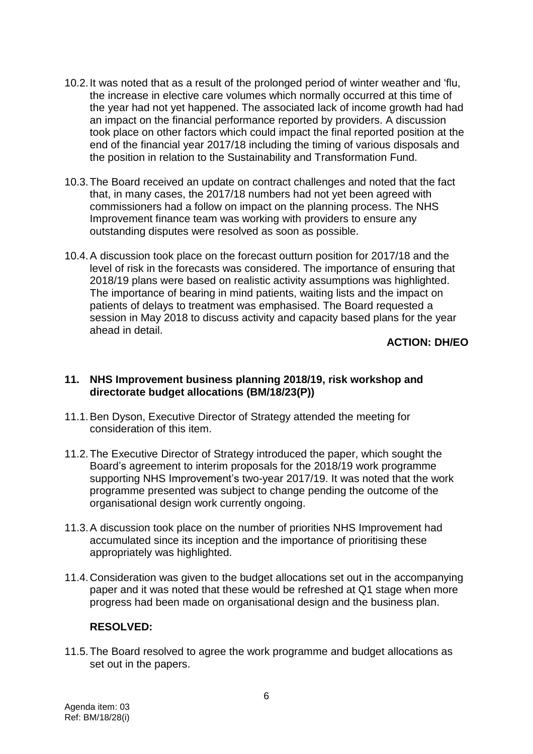- 10.2.It was noted that as a result of the prolonged period of winter weather and 'flu, the increase in elective care volumes which normally occurred at this time of the year had not yet happened. The associated lack of income growth had had an impact on the financial performance reported by providers. A discussion took place on other factors which could impact the final reported position at the end of the financial year 2017/18 including the timing of various disposals and the position in relation to the Sustainability and Transformation Fund.
- 10.3.The Board received an update on contract challenges and noted that the fact that, in many cases, the 2017/18 numbers had not yet been agreed with commissioners had a follow on impact on the planning process. The NHS Improvement finance team was working with providers to ensure any outstanding disputes were resolved as soon as possible.
- 10.4.A discussion took place on the forecast outturn position for 2017/18 and the level of risk in the forecasts was considered. The importance of ensuring that 2018/19 plans were based on realistic activity assumptions was highlighted. The importance of bearing in mind patients, waiting lists and the impact on patients of delays to treatment was emphasised. The Board requested a session in May 2018 to discuss activity and capacity based plans for the year ahead in detail.

## **ACTION: DH/EO**

### **11. NHS Improvement business planning 2018/19, risk workshop and directorate budget allocations (BM/18/23(P))**

- 11.1.Ben Dyson, Executive Director of Strategy attended the meeting for consideration of this item.
- 11.2.The Executive Director of Strategy introduced the paper, which sought the Board's agreement to interim proposals for the 2018/19 work programme supporting NHS Improvement's two-year 2017/19. It was noted that the work programme presented was subject to change pending the outcome of the organisational design work currently ongoing.
- 11.3.A discussion took place on the number of priorities NHS Improvement had accumulated since its inception and the importance of prioritising these appropriately was highlighted.
- 11.4.Consideration was given to the budget allocations set out in the accompanying paper and it was noted that these would be refreshed at Q1 stage when more progress had been made on organisational design and the business plan.

### **RESOLVED:**

11.5.The Board resolved to agree the work programme and budget allocations as set out in the papers.